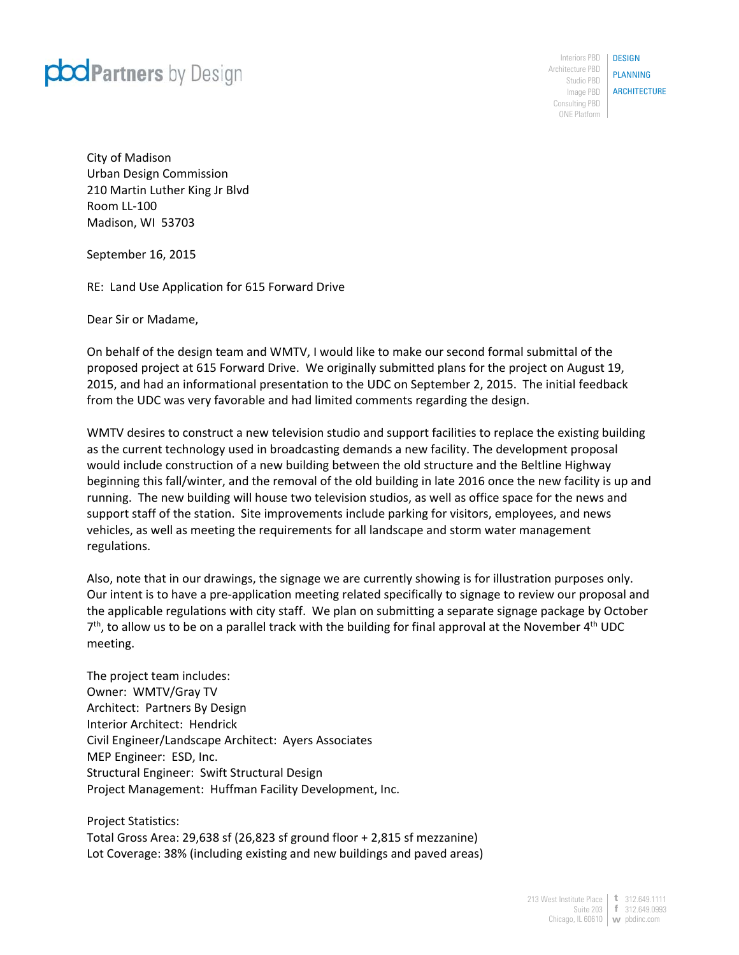

Interiors PBD | DESIGN Architecture PBD Studio PBD Image PBD | **ARCHITECTURE** Consulting PBD ONE Platform

PLANNING

City of Madison Urban Design Commission 210 Martin Luther King Jr Blvd Room LL‐100 Madison, WI 53703

September 16, 2015

RE: Land Use Application for 615 Forward Drive

Dear Sir or Madame,

On behalf of the design team and WMTV, I would like to make our second formal submittal of the proposed project at 615 Forward Drive. We originally submitted plans for the project on August 19, 2015, and had an informational presentation to the UDC on September 2, 2015. The initial feedback from the UDC was very favorable and had limited comments regarding the design.

WMTV desires to construct a new television studio and support facilities to replace the existing building as the current technology used in broadcasting demands a new facility. The development proposal would include construction of a new building between the old structure and the Beltline Highway beginning this fall/winter, and the removal of the old building in late 2016 once the new facility is up and running. The new building will house two television studios, as well as office space for the news and support staff of the station. Site improvements include parking for visitors, employees, and news vehicles, as well as meeting the requirements for all landscape and storm water management regulations.

Also, note that in our drawings, the signage we are currently showing is for illustration purposes only. Our intent is to have a pre‐application meeting related specifically to signage to review our proposal and the applicable regulations with city staff. We plan on submitting a separate signage package by October  $7<sup>th</sup>$ , to allow us to be on a parallel track with the building for final approval at the November 4<sup>th</sup> UDC meeting.

The project team includes: Owner: WMTV/Gray TV Architect: Partners By Design Interior Architect: Hendrick Civil Engineer/Landscape Architect: Ayers Associates MEP Engineer: ESD, Inc. Structural Engineer: Swift Structural Design Project Management: Huffman Facility Development, Inc.

Project Statistics: Total Gross Area: 29,638 sf (26,823 sf ground floor + 2,815 sf mezzanine) Lot Coverage: 38% (including existing and new buildings and paved areas)